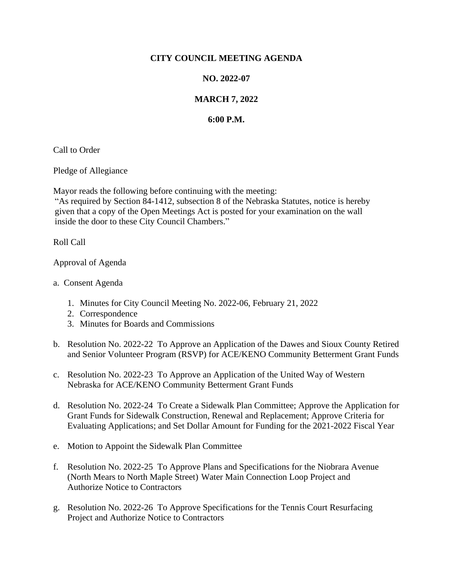## **CITY COUNCIL MEETING AGENDA**

## **NO. 2022-07**

## **MARCH 7, 2022**

## **6:00 P.M.**

Call to Order

Pledge of Allegiance

Mayor reads the following before continuing with the meeting:

"As required by Section 84-1412, subsection 8 of the Nebraska Statutes, notice is hereby given that a copy of the Open Meetings Act is posted for your examination on the wall inside the door to these City Council Chambers."

Roll Call

Approval of Agenda

- a. Consent Agenda
	- 1. Minutes for City Council Meeting No. 2022-06, February 21, 2022
	- 2. Correspondence
	- 3. Minutes for Boards and Commissions
- b. Resolution No. 2022-22 To Approve an Application of the Dawes and Sioux County Retired and Senior Volunteer Program (RSVP) for ACE/KENO Community Betterment Grant Funds
- c. Resolution No. 2022-23 To Approve an Application of the United Way of Western Nebraska for ACE/KENO Community Betterment Grant Funds
- d. Resolution No. 2022-24 To Create a Sidewalk Plan Committee; Approve the Application for Grant Funds for Sidewalk Construction, Renewal and Replacement; Approve Criteria for Evaluating Applications; and Set Dollar Amount for Funding for the 2021-2022 Fiscal Year
- e. Motion to Appoint the Sidewalk Plan Committee
- f. Resolution No. 2022-25 To Approve Plans and Specifications for the Niobrara Avenue (North Mears to North Maple Street) Water Main Connection Loop Project and Authorize Notice to Contractors
- g. Resolution No. 2022-26 To Approve Specifications for the Tennis Court Resurfacing Project and Authorize Notice to Contractors